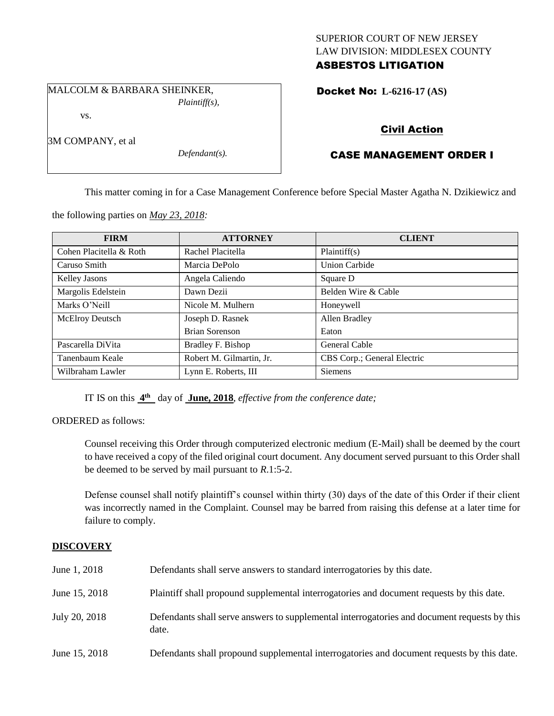## SUPERIOR COURT OF NEW JERSEY LAW DIVISION: MIDDLESEX COUNTY ASBESTOS LITIGATION

MALCOLM & BARBARA SHEINKER, *Plaintiff(s),*

vs.

3M COMPANY, et al

*Defendant(s).*

# Docket No: **L-6216-17 (AS)**

# Civil Action

# CASE MANAGEMENT ORDER I

This matter coming in for a Case Management Conference before Special Master Agatha N. Dzikiewicz and

the following parties on *May 23, 2018:*

| <b>FIRM</b>             | <b>ATTORNEY</b>          | <b>CLIENT</b>               |
|-------------------------|--------------------------|-----------------------------|
| Cohen Placitella & Roth | Rachel Placitella        | Plaintiff(s)                |
| Caruso Smith            | Marcia DePolo            | <b>Union Carbide</b>        |
| <b>Kelley Jasons</b>    | Angela Caliendo          | Square D                    |
| Margolis Edelstein      | Dawn Dezii               | Belden Wire & Cable         |
| Marks O'Neill           | Nicole M. Mulhern        | Honeywell                   |
| <b>McElroy Deutsch</b>  | Joseph D. Rasnek         | Allen Bradley               |
|                         | Brian Sorenson           | Eaton                       |
| Pascarella DiVita       | Bradley F. Bishop        | General Cable               |
| Tanenbaum Keale         | Robert M. Gilmartin, Jr. | CBS Corp.; General Electric |
| Wilbraham Lawler        | Lynn E. Roberts, III     | <b>Siemens</b>              |

IT IS on this  $4^{\text{th}}$  day of June, 2018, *effective from the conference date*;

ORDERED as follows:

Counsel receiving this Order through computerized electronic medium (E-Mail) shall be deemed by the court to have received a copy of the filed original court document. Any document served pursuant to this Order shall be deemed to be served by mail pursuant to *R*.1:5-2.

Defense counsel shall notify plaintiff's counsel within thirty (30) days of the date of this Order if their client was incorrectly named in the Complaint. Counsel may be barred from raising this defense at a later time for failure to comply.

## **DISCOVERY**

| June 1, 2018  | Defendants shall serve answers to standard interrogatories by this date.                              |
|---------------|-------------------------------------------------------------------------------------------------------|
| June 15, 2018 | Plaintiff shall propound supplemental interrogatories and document requests by this date.             |
| July 20, 2018 | Defendants shall serve answers to supplemental interrogatories and document requests by this<br>date. |
| June 15, 2018 | Defendants shall propound supplemental interrogatories and document requests by this date.            |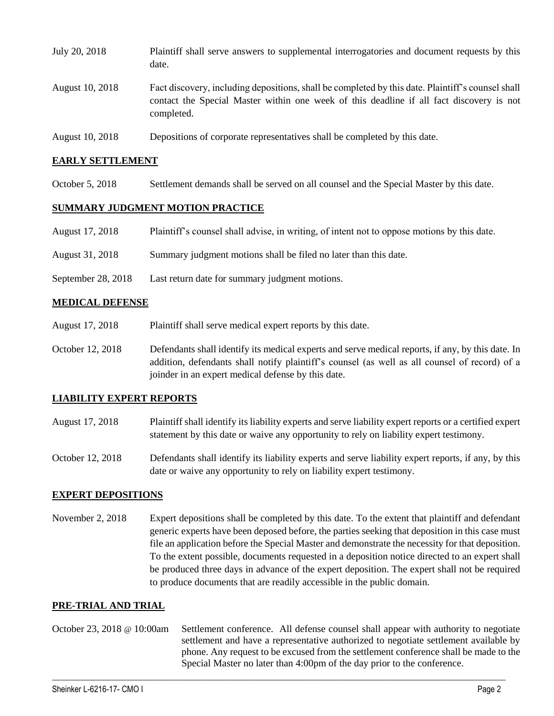| July 20, 2018   | Plaintiff shall serve answers to supplemental interrogatories and document requests by this<br>date.                                                                                                        |
|-----------------|-------------------------------------------------------------------------------------------------------------------------------------------------------------------------------------------------------------|
| August 10, 2018 | Fact discovery, including depositions, shall be completed by this date. Plaintiff's counsel shall<br>contact the Special Master within one week of this deadline if all fact discovery is not<br>completed. |
| August 10, 2018 | Depositions of corporate representatives shall be completed by this date.                                                                                                                                   |

### **EARLY SETTLEMENT**

October 5, 2018 Settlement demands shall be served on all counsel and the Special Master by this date.

#### **SUMMARY JUDGMENT MOTION PRACTICE**

- August 17, 2018 Plaintiff's counsel shall advise, in writing, of intent not to oppose motions by this date.
- August 31, 2018 Summary judgment motions shall be filed no later than this date.
- September 28, 2018 Last return date for summary judgment motions.

#### **MEDICAL DEFENSE**

- August 17, 2018 Plaintiff shall serve medical expert reports by this date.
- October 12, 2018 Defendants shall identify its medical experts and serve medical reports, if any, by this date. In addition, defendants shall notify plaintiff's counsel (as well as all counsel of record) of a joinder in an expert medical defense by this date.

#### **LIABILITY EXPERT REPORTS**

- August 17, 2018 Plaintiff shall identify its liability experts and serve liability expert reports or a certified expert statement by this date or waive any opportunity to rely on liability expert testimony.
- October 12, 2018 Defendants shall identify its liability experts and serve liability expert reports, if any, by this date or waive any opportunity to rely on liability expert testimony.

### **EXPERT DEPOSITIONS**

November 2, 2018 Expert depositions shall be completed by this date. To the extent that plaintiff and defendant generic experts have been deposed before, the parties seeking that deposition in this case must file an application before the Special Master and demonstrate the necessity for that deposition. To the extent possible, documents requested in a deposition notice directed to an expert shall be produced three days in advance of the expert deposition. The expert shall not be required to produce documents that are readily accessible in the public domain.

#### **PRE-TRIAL AND TRIAL**

October 23, 2018 @ 10:00am Settlement conference. All defense counsel shall appear with authority to negotiate settlement and have a representative authorized to negotiate settlement available by phone. Any request to be excused from the settlement conference shall be made to the Special Master no later than 4:00pm of the day prior to the conference.

 $\_$  ,  $\_$  ,  $\_$  ,  $\_$  ,  $\_$  ,  $\_$  ,  $\_$  ,  $\_$  ,  $\_$  ,  $\_$  ,  $\_$  ,  $\_$  ,  $\_$  ,  $\_$  ,  $\_$  ,  $\_$  ,  $\_$  ,  $\_$  ,  $\_$  ,  $\_$  ,  $\_$  ,  $\_$  ,  $\_$  ,  $\_$  ,  $\_$  ,  $\_$  ,  $\_$  ,  $\_$  ,  $\_$  ,  $\_$  ,  $\_$  ,  $\_$  ,  $\_$  ,  $\_$  ,  $\_$  ,  $\_$  ,  $\_$  ,